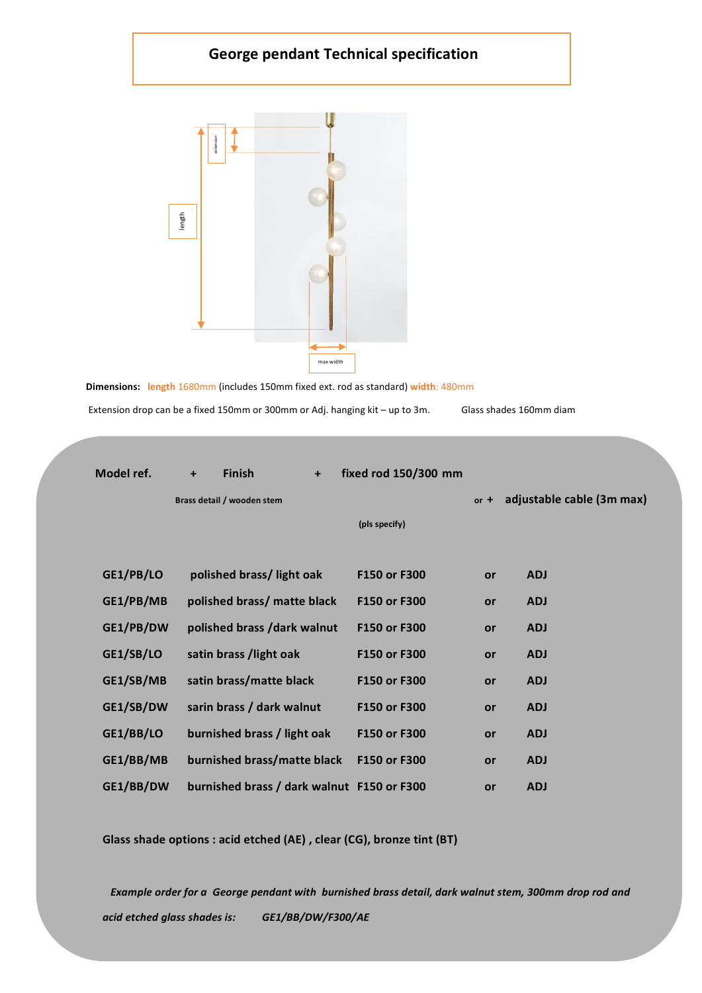## **George pendant Technical specification**



**Dimensions: length** 1680mm (includes 150mm fixed ext. rod as standard) **width**: 480mm Extension drop can be a fixed 150mm or 300mm or Adj. hanging kit – up to 3m. Glass shades 160mm diam

| Model ref. | $\ddot{}$ | <b>Finish</b>                              | $\ddot{\phantom{1}}$ | fixed rod 150/300 mm |        |                           |
|------------|-----------|--------------------------------------------|----------------------|----------------------|--------|---------------------------|
|            |           | Brass detail / wooden stem                 |                      |                      | $or +$ | adjustable cable (3m max) |
|            |           |                                            |                      | (pls specify)        |        |                           |
|            |           |                                            |                      |                      |        |                           |
| GE1/PB/LO  |           | polished brass/light oak                   |                      | F150 or F300         | or     | <b>ADJ</b>                |
| GE1/PB/MB  |           | polished brass/ matte black                |                      | F150 or F300         | or     | <b>ADJ</b>                |
| GE1/PB/DW  |           | polished brass /dark walnut                |                      | F150 or F300         | or     | <b>ADJ</b>                |
| GE1/SB/LO  |           | satin brass /light oak                     |                      | F150 or F300         | or     | <b>ADJ</b>                |
| GE1/SB/MB  |           | satin brass/matte black                    |                      | F150 or F300         | or     | <b>ADJ</b>                |
| GE1/SB/DW  |           | sarin brass / dark walnut                  |                      | F150 or F300         | or     | <b>ADJ</b>                |
| GE1/BB/LO  |           | burnished brass / light oak                |                      | F150 or F300         | or     | <b>ADJ</b>                |
| GE1/BB/MB  |           | burnished brass/matte black                |                      | F150 or F300         | or     | <b>ADJ</b>                |
| GE1/BB/DW  |           | burnished brass / dark walnut F150 or F300 |                      |                      | or     | <b>ADJ</b>                |
|            |           |                                            |                      |                      |        |                           |

**Glass shade options : acid etched (AE) , clear (CG), bronze tint (BT)**

 *Example order for a George pendant with burnished brass detail, dark walnut stem, 300mm drop rod and acid etched glass shades is: GE1/BB/DW/F300/AE*